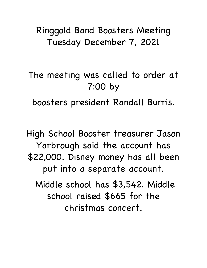## Ringgold Band Boosters Meeting Tuesday December 7, 2021

The meeting was called to order at 7:00 by

boosters president Randall Burris.

High School Booster treasurer Jason Yarbrough said the account has \$22,000. Disney money has all been put into a separate account.

 Middle school has \$3,542. Middle school raised \$665 for the christmas concert.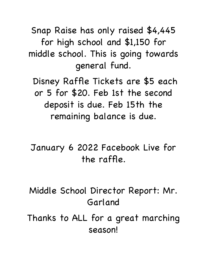Snap Raise has only raised \$4,445 for high school and \$1,150 for middle school. This is going towards general fund.

 Disney Raffle Tickets are \$5 each or 5 for \$20. Feb 1st the second deposit is due. Feb 15th the remaining balance is due.

January 6 2022 Facebook Live for the raffle.

Middle School Director Report: Mr. Garland

Thanks to ALL for a great marching season!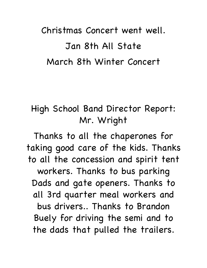## Christmas Concert went well. Jan 8th All State March 8th Winter Concert

## High School Band Director Report: Mr. Wright

Thanks to all the chaperones for taking good care of the kids. Thanks to all the concession and spirit tent workers. Thanks to bus parking Dads and gate openers. Thanks to all 3rd quarter meal workers and bus drivers.. Thanks to Brandon Buely for driving the semi and to the dads that pulled the trailers.